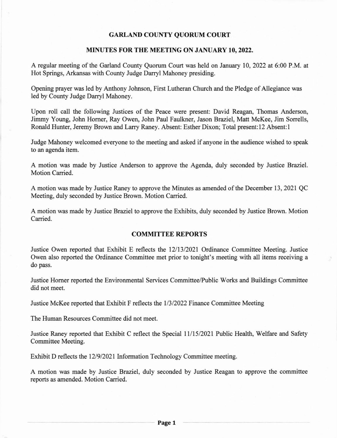## GARLAND COUNTY QUORUM COURT

#### MINUTES FOR THE MEETING ON JANUARY 10,2022.

A regular meeting of the Garland County Quorum Court was held on January 10,2022 at 6:00 P.M. at Hot Springs, Arkansas with County Judge Darryl Mahoney presiding.

Opening prayer was led by Anthony Johnson, First Lutheran Church and the Pledge of Allegiance was led by County Judge Darryl Mahoney.

Upon roll call the following Justices of the Peace were present: David Reagan, Thomas Anderson, Jimmy Young, John Horner, Ray Owen, John Paul Faulkner, Jason Braziel, Matt McKee, Jim Sorrells, Ronald Hunter, Jeremy Brown and Larry Raney. Absent: Esther Dixon; Total present:12 Absent:1

Judge Mahoney welcomed everyone to the meeting and asked if anyone in the audience wished to speak to an agenda item.

A motion was made by Jusice Anderson to approve the Agenda, duly seconded by Justice Braziel. Motion Carried.

A motion was made by Justice Raney to approve the Minutes as amended of the December 13, 2021 QC Meeting, duly seconded by Justice Brown. Motion Carried.

A motion was made by Justice Braziel to approve the Exhibits, duly seconded by Justice Brown. Motion Carried.

## COMMITTEE REPORTS

Justice Owen reported that Exhibit E reflects the 12/13/2021 Ordinance Committee Meeting. Justice Owen also reported the Ordinance Committee met prior to tonight's meeting with all items receiving a do pass.

Justice Homer reported the Environmental Services Committee/Public Works and Buildings Committee did not meet.

Justice McKee reported that Exhibit F reflects the 11312022 Finance Committee Meeting

The Human Resources Committee did not meet.

Justice Raney reported that Exhibit C reflect the Special 11/15/2021 Public Health, Welfare and Safety Committee Meeting.

Exhibit D reflects the 12/9/2021 Information Technology Committee meeting.

A motion was made by Justice Braziel, duly seconded by Justice Reagan to approve the committee reports as amended. Motion Carried.